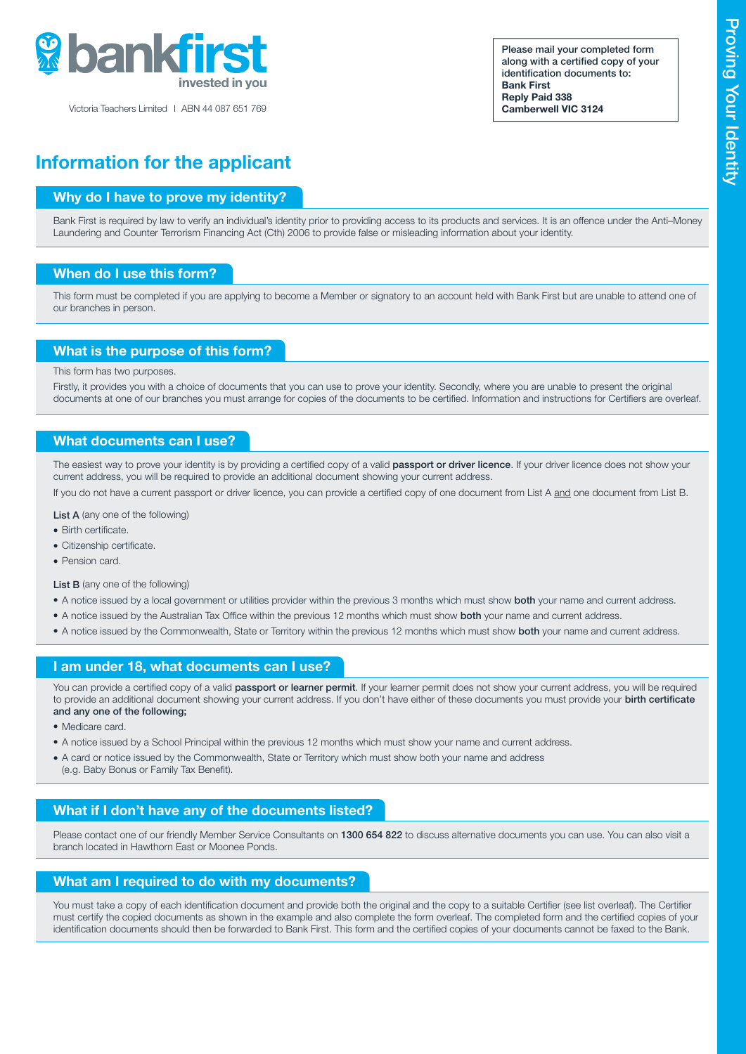

Victoria Teachers Limited I ABN 44 087 651 769

Please mail your completed form along with a certified copy of your identification documents to: Bank First Reply Paid 338 Camberwell VIC 3124

# Information for the applicant

## Why do I have to prove my identity?

Bank First is required by law to verify an individual's identity prior to providing access to its products and services. It is an offence under the Anti–Money Laundering and Counter Terrorism Financing Act (Cth) 2006 to provide false or misleading information about your identity.

#### When do I use this form?

This form must be completed if you are applying to become a Member or signatory to an account held with Bank First but are unable to attend one of our branches in person.

#### What is the purpose of this form?

This form has two purposes.

Firstly, it provides you with a choice of documents that you can use to prove your identity. Secondly, where you are unable to present the original documents at one of our branches you must arrange for copies of the documents to be certified. Information and instructions for Certifiers are overleaf.

#### What documents can I use?

The easiest way to prove your identity is by providing a certified copy of a valid passport or driver licence. If your driver licence does not show your current address, you will be required to provide an additional document showing your current address.

If you do not have a current passport or driver licence, you can provide a certified copy of one document from List A and one document from List B.

List A (any one of the following)

- Birth certificate.
- **.** Citizenship certificate
- Pension card.

List B (any one of the following)

- A notice issued by a local government or utilities provider within the previous 3 months which must show **both** your name and current address.
- A notice issued by the Australian Tax Office within the previous 12 months which must show both your name and current address.
- A notice issued by the Commonwealth, State or Territory within the previous 12 months which must show both your name and current address.

#### I am under 18, what documents can I use?

You can provide a certified copy of a valid passport or learner permit. If your learner permit does not show your current address, you will be required to provide an additional document showing your current address. If you don't have either of these documents you must provide your birth certificate and any one of the following;

- Medicare card.
- A notice issued by a School Principal within the previous 12 months which must show your name and current address.
- A card or notice issued by the Commonwealth, State or Territory which must show both your name and address (e.g. Baby Bonus or Family Tax Benefit).

## What if I don't have any of the documents listed?

Please contact one of our friendly Member Service Consultants on 1300 654 822 to discuss alternative documents you can use. You can also visit a branch located in Hawthorn East or Moonee Ponds.

#### What am I required to do with my documents?

You must take a copy of each identification document and provide both the original and the copy to a suitable Certifier (see list overleaf). The Certifier must certify the copied documents as shown in the example and also complete the form overleaf. The completed form and the certified copies of your identification documents should then be forwarded to Bank First. This form and the certified copies of your documents cannot be faxed to the Bank.